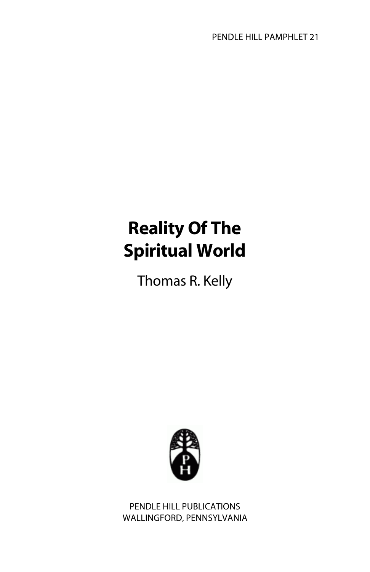# **Reality Of The Spiritual World**

Thomas R. Kelly



PENDLE HILL PUBLICATIONS WALLINGFORD, PENNSYLVANIA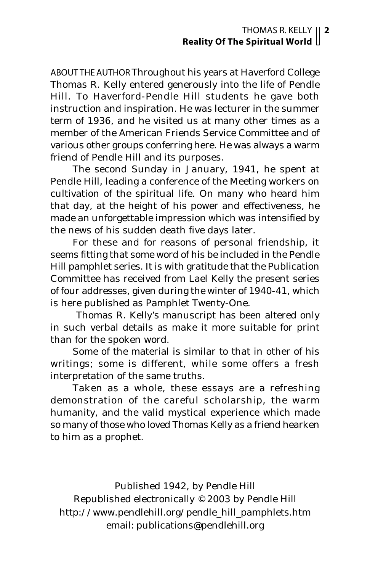ABOUT THE AUTHOR Throughout his years at Haverford College Thomas R. Kelly entered generously into the life of Pendle Hill. To Haverford-Pendle Hill students he gave both instruction and inspiration. He was lecturer in the summer term of 1936, and he visited us at many other times as a member of the American Friends Service Committee and of various other groups conferring here. He was always a warm friend of Pendle Hill and its purposes.

The second Sunday in January, 1941, he spent at Pendle Hill, leading a conference of the Meeting workers on cultivation of the spiritual life. On many who heard him that day, at the height of his power and effectiveness, he made an unforgettable impression which was intensified by the news of his sudden death five days later.

For these and for reasons of personal friendship, it seems fitting that some word of his be included in the Pendle Hill pamphlet series. It is with gratitude that the Publication Committee has received from Lael Kelly the present series of four addresses, given during the winter of 1940-41, which is here published as Pamphlet Twenty-One.

 Thomas R. Kelly's manuscript has been altered only in such verbal details as make it more suitable for print than for the spoken word.

Some of the material is similar to that in other of his writings; some is different, while some offers a fresh interpretation of the same truths.

Taken as a whole, these essays are a refreshing demonstration of the careful scholarship, the warm humanity, and the valid mystical experience which made so many of those who loved Thomas Kelly as a friend hearken to him as a prophet.

Published 1942, by Pendle Hill Republished electronically © 2003 by Pendle Hill http://www.pendlehill.org/pendle\_hill\_pamphlets.htm email: publications@pendlehill.org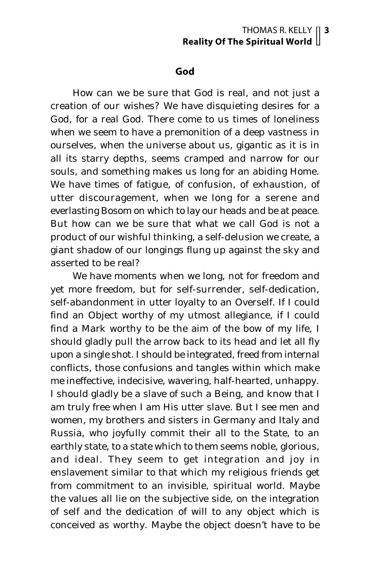#### **God**

How can we be sure that God is real, and not just a creation of our wishes? We have disquieting desires for a God, for a real God. There come to us times of loneliness when we seem to have a premonition of a deep vastness in ourselves, when the universe about us, gigantic as it is in all its starry depths, seems cramped and narrow for our souls, and something makes us long for an abiding Home. We have times of fatigue, of confusion, of exhaustion, of utter discouragement, when we long for a serene and everlasting Bosom on which to lay our heads and be at peace. But how can we be sure that what we call God is not a product of our wishful thinking, a self-delusion we create, a giant shadow of our longings flung up against the sky and asserted to be real?

We have moments when we long, not for freedom and yet more freedom, but for self-surrender, self-dedication, self-abandonment in utter loyalty to an Overself. If I could find an Object worthy of my utmost allegiance, if I could find a Mark worthy to be the aim of the bow of my life, I should gladly pull the arrow back to its head and let all fly upon a single shot. I should be integrated, freed from internal conflicts, those confusions and tangles within which make me ineffective, indecisive, wavering, half-hearted, unhappy. I should gladly be a slave of such a Being, and know that I am truly free when I am His utter slave. But I see men and women, my brothers and sisters in Germany and Italy and Russia, who joyfully commit their all to the State, to an earthly state, to a state which to them seems noble, glorious, and ideal. They seem to get integration and joy in enslavement similar to that which my religious friends get from commitment to an invisible, spiritual world. Maybe the values all lie on the subjective side, on the integration of self and the dedication of will to *any* object which is conceived as worthy. Maybe the object doesn't have to be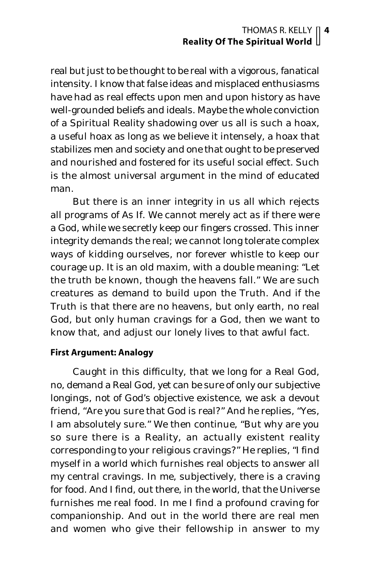# THOMAS R. KELLY **4 Reality Of The Spiritual World**

real but just to be thought to be real with a vigorous, fanatical intensity. I know that false ideas and misplaced enthusiasms have had as real effects upon men and upon history as have well-grounded beliefs and ideals. Maybe the whole conviction of a Spiritual Reality shadowing over us all is such a hoax, a useful hoax as long as we believe it intensely, a hoax that stabilizes men and society and one that ought to be preserved and nourished and fostered for its useful social effect. Such is the almost universal argument in the mind of educated man.

But there is an inner integrity in us all which rejects all programs of As If. We cannot merely act *as if* there were a God, while we secretly keep our fingers crossed. This inner integrity demands the *real*; we cannot long tolerate complex ways of kidding ourselves, nor forever whistle to keep our courage up. It is an old maxim, with a double meaning: "Let the truth be known, though the heavens fall." We are such creatures as demand to build upon the Truth. And if the Truth is that there are no heavens, but only earth, no real God, but only human cravings for a God, then we want to know that, and adjust our lonely lives to that awful fact.

## **First Argument: Analogy**

Caught in this difficulty, that we long for a Real God, no, demand a Real God, yet can be sure of only our subjective longings, not of God's objective existence, we ask a devout friend, "Are you sure that God is real?" And he replies, "Yes, I am absolutely sure." We then continue, "But why are you so sure there is a Reality, an actually existent reality corresponding to your religious cravings?" He replies, "I find myself in a world which furnishes real objects to answer all my central cravings. In me, subjectively, there is a craving for food. And I find, out there, in the world, that the Universe furnishes me real food. In me I find a profound craving for companionship. And out in the world there are real men and women who give their fellowship in answer to my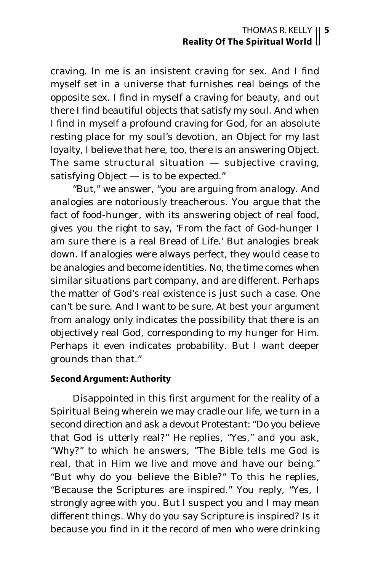craving. In me is an insistent craving for sex. And I find myself set in a universe that furnishes real beings of the opposite sex. I find in myself a craving for beauty, and out there I find beautiful objects that satisfy my soul. And when I find in myself a profound craving for God, for an absolute resting place for my soul's devotion, an Object for my last loyalty, I believe that here, too, there is an answering Object. The same structural situation  $-$  subjective craving, satisfying Object — is to be expected."

"But," we answer, "you are arguing from analogy. And analogies are notoriously treacherous. You argue that the fact of food-hunger, with its answering object of real food, gives you the right to say, 'From the fact of God-hunger I am sure there is a real Bread of Life.' But analogies break down. If analogies were always perfect, they would cease to be analogies and become identities. No, the time comes when similar situations part company, and are different. Perhaps the matter of God's real existence is just such a case. One can't be sure. *And I want to be sure.* At best your argument from analogy only indicates the possibility that there is an objectively real God, corresponding to my hunger for Him. Perhaps it even indicates *probability*. But I want deeper grounds than that."

## **Second Argument: Authority**

Disappointed in this first argument for the reality of a Spiritual Being wherein we may cradle our life, we turn in a second direction and ask a devout Protestant: "Do you believe that God is utterly real?" He replies, "Yes," and you ask, "Why?" to which he answers, "The Bible tells me God is real, that in Him we live and move and have our being." "But why do you believe the Bible?" To this he replies, "Because the Scriptures are inspired." You reply, "Yes, I strongly agree with you. But I suspect you and I may mean different things. Why do you say Scripture is inspired? Is it because you find in it the record of men who were drinking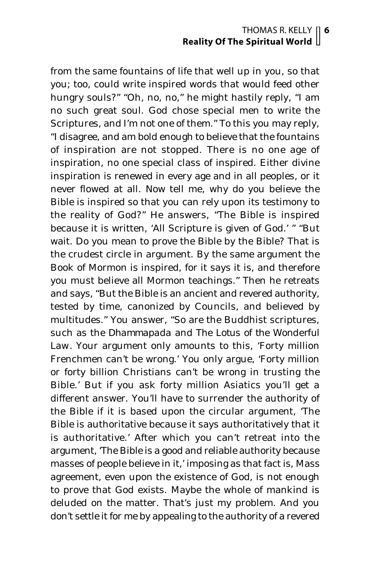#### THOMAS R. KELLY **6 Reality Of The Spiritual World**

from the same fountains of life that well up in you, so that you; too, could write inspired words that would feed other hungry souls?" "Oh, no, no," he might hastily reply, "I am no such great soul. God chose special men to write the Scriptures, and I'm not one of them." To this you may reply, "I disagree, and am bold enough to believe that the fountains of inspiration are not stopped. There is no one age of inspiration, no one special class of inspired. Either divine inspiration is renewed in every age and in all peoples, or it never flowed at all. Now tell me, why do you believe the Bible is inspired so that you can rely upon its testimony to the reality of God?" He answers, "The Bible is inspired because it is written, 'All Scripture is given of God.' " "But wait. Do you mean to prove the Bible by the Bible? That is the crudest circle in argument. By the same argument the Book of Mormon is inspired, for it says it is, and therefore you must believe all Mormon teachings." Then he retreats and says, "But the Bible is an ancient and revered authority, tested by time, canonized by Councils, and believed by multitudes." You answer, "So are the Buddhist scriptures, such as the *Dhammapada* and *The Lotus of the Wonderful Law.* Your argument only amounts to this, 'Forty million Frenchmen can't be wrong.' You only argue, 'Forty million or forty billion Christians can't be wrong in trusting the Bible.' But if you ask forty million Asiatics you'll get a different answer. You'll have to surrender the authority of the Bible if it is based upon the circular argument, 'The Bible is authoritative because it says authoritatively that it is authoritative.' After which you can't retreat into the argument, 'The Bible is a good and reliable authority because masses of people believe in it,' imposing as that fact is, Mass agreement, even upon the existence of God, is not enough to prove that God exists. Maybe the whole of mankind is deluded on the matter. That's just my problem. And you don't settle it for me by appealing to the authority of a revered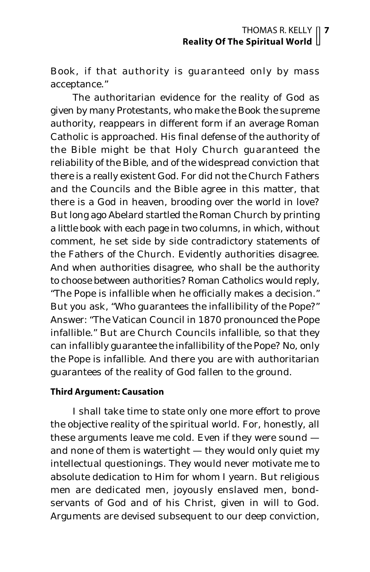Book, if that authority is guaranteed only by mass acceptance."

The authoritarian evidence for the reality of God as given by many Protestants, who make the Book the supreme authority, reappears in different form if an average Roman Catholic is approached. His final defense of the authority of the Bible might be that Holy Church guaranteed the reliability of the Bible, and of the widespread conviction that there is a really existent God. For did not the Church Fathers and the Councils and the Bible agree in this matter, that there is a God in heaven, brooding over the world in love? But long ago Abelard startled the Roman Church by printing a little book with each page in two columns, in which, without comment, he set side by side contradictory statements of the Fathers of the Church. Evidently authorities disagree. And when authorities disagree, who shall be the authority to choose between authorities? Roman Catholics would reply, "The Pope is infallible when he officially makes a decision." But you ask, "Who guarantees the infallibility of the Pope?" Answer: "The Vatican Council in 1870 pronounced the Pope infallible." But are Church Councils infallible, so that they can infallibly guarantee the infallibility of the Pope? No, only the Pope is infallible. And there you are with authoritarian guarantees of the reality of God fallen to the ground.

## **Third Argument: Causation**

I shall take time to state only one more effort to prove the objective reality of the spiritual world. For, honestly, all these arguments leave me cold. Even if they were sound and none of them is watertight — they would only quiet my intellectual questionings. They would never motivate me to absolute dedication to Him for whom I yearn. But religious men are dedicated men, joyously enslaved men, bondservants of God and of his Christ, given in will to God. Arguments are devised subsequent to our deep conviction,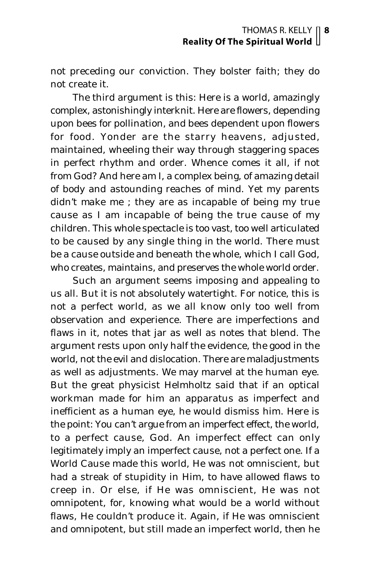not preceding our conviction. They bolster faith; they do not create it.

The third argument is this: Here is a world, amazingly complex, astonishingly interknit. Here are flowers, depending upon bees for pollination, and bees dependent upon flowers for food. Yonder are the starry heavens, adjusted, maintained, wheeling their way through staggering spaces in perfect rhythm and order. Whence comes it all, if not from God? And here am I, a complex being, of amazing detail of body and astounding reaches of mind. Yet my parents didn't *make* me ; they are as incapable of being my true cause as I am incapable of being the true cause of my children. This whole spectacle is too vast, too well articulated to be caused by any single thing *in* the world. There must be a cause outside and beneath the whole, which I call God, who creates, maintains, and preserves the whole world order.

Such an argument seems imposing and appealing to us all. But it is not absolutely watertight. For notice, this is not a perfect world, as we all know only too well from observation and experience. There are imperfections and flaws in it, notes that jar as well as notes that blend. The argument rests upon only half the evidence, the good in the world, not the evil and dislocation. There are maladjustments as well as adjustments. We may marvel at the human eye. But the great physicist Helmholtz said that if an optical workman made for him an apparatus as imperfect and inefficient as a human eye, he would dismiss him. Here is the point: You can't argue from an imperfect effect, the world, to a perfect cause, God. An imperfect effect can only legitimately imply an imperfect cause, not a perfect one. If a World Cause made this world, He was not omniscient, but had a streak of stupidity in Him, to have allowed flaws to creep in. Or else, if He was omniscient, He was not omnipotent, for, knowing what would be a world without flaws, He couldn't produce it. Again, if He was omniscient and omnipotent, but still made an imperfect world, then he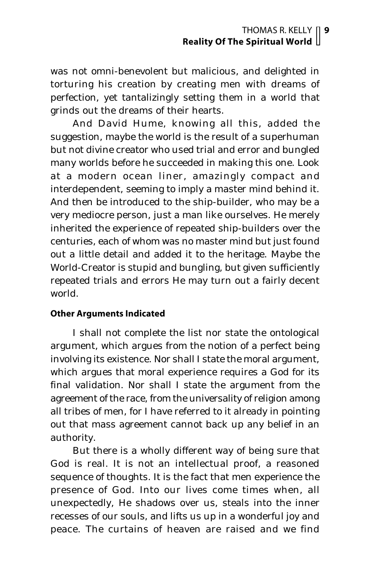was not omni-benevolent but malicious, and delighted in torturing his creation by creating men with dreams of perfection, yet tantalizingly setting them in a world that grinds out the dreams of their hearts.

And David Hume, knowing all this, added the suggestion, maybe the world is the result of a superhuman but not divine creator who used trial and error and bungled many worlds before he succeeded in making this one. Look at a modern ocean liner, amazingly compact and interdependent, seeming to imply a master mind behind it. And then be introduced to the ship-builder, who may be a very mediocre person, just a man like ourselves. He merely inherited the experience of repeated ship-builders over the centuries, each of whom was no master mind but just found out a little detail and added it to the heritage. Maybe the World-Creator is stupid and bungling, but given sufficiently repeated trials and errors He may turn out a fairly decent world.

#### **Other Arguments Indicated**

I shall not complete the list nor state the ontological argument, which argues from the notion of a perfect being involving its existence. Nor shall I state the moral argument, which argues that moral experience requires a God for its final validation. Nor shall I state the argument from the agreement of the race, from the universality of religion among all tribes of men, for I have referred to it already in pointing out that mass agreement cannot back up any belief in an authority.

But there is a wholly different way of being sure that God is real. It is not an intellectual proof, a reasoned sequence of thoughts. It is the fact that men *experience* the presence of God. Into our lives come times when, all unexpectedly, He shadows over us, steals into the inner recesses of our souls, and lifts us up in a wonderful joy and peace. The curtains of heaven are raised and we find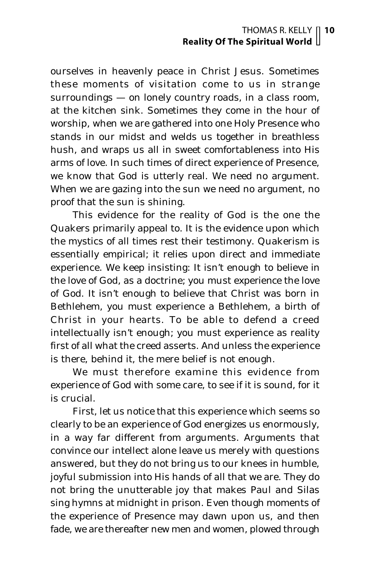ourselves in heavenly peace in Christ Jesus. Sometimes these moments of visitation come to us in strange surroundings — on lonely country roads, in a class room, at the kitchen sink. Sometimes they come in the hour of worship, when we are gathered into one Holy Presence who stands in our midst and welds us together in breathless hush, and wraps us all in sweet comfortableness into His arms of love. In such times of direct experience of Presence, we know that God is utterly real. We need no argument. When we are gazing into the sun we need no argument, no proof that the sun is shining.

This evidence for the reality of God is the one the Quakers primarily appeal to. It is the evidence upon which the mystics of all times rest their testimony. Quakerism is essentially empirical; it relies upon direct and immediate experience. We keep insisting: It isn't enough to *believe in* the love of God, as a doctrine; you must *experience* the love of God. It isn't enough to believe that Christ was born in Bethlehem, you must experience a Bethlehem, a birth of Christ in your hearts. To be able to defend a creed intellectually isn't enough; you must experience as reality first of all what the creed asserts. And unless the experience is there, behind it, the mere belief is not enough.

We must therefore examine this evidence from experience of God with some care, to see if it is sound, for it is crucial.

First, let us notice that this experience which seems so clearly to be an experience of God energizes us enormously, in a way far different from arguments. Arguments that convince our intellect alone leave us merely with questions answered, but they do not bring us to our knees in humble, joyful submission into His hands of all that we are. They do not bring the unutterable joy that makes Paul and Silas sing hymns at midnight in prison. Even though moments of the experience of Presence may dawn upon us, and then fade, we are thereafter new men and women, plowed through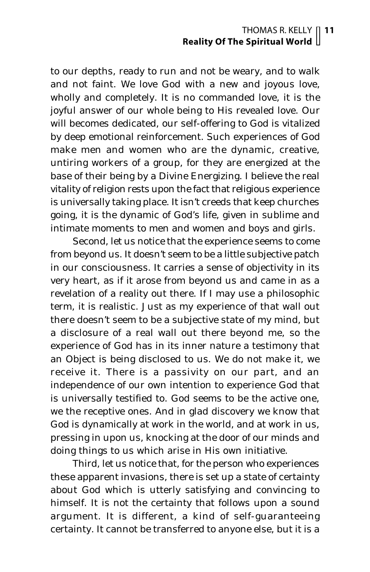### THOMAS R. KELLY **11 Reality Of The Spiritual World**

to our depths, ready to run and not be weary, and to walk and not faint. We love God with a new and joyous love, wholly and completely. It is no commanded love, it is the joyful answer of our whole being to His revealed love. Our will becomes dedicated, our self-offering to God is vitalized by deep emotional reinforcement. Such experiences of God make men and women who are the dynamic, creative, untiring workers of a group, for they are energized at the base of their being by a Divine Energizing. I believe the real vitality of religion rests upon the fact that religious experience is universally taking place. It isn't creeds that keep churches going, it is the dynamic of God's life, given in sublime and intimate moments to men and women and boys and girls.

Second, let us notice that the experience seems to come from beyond us. It doesn't seem to be a little subjective patch in our consciousness. It carries a sense of objectivity in its very heart, as if it arose from beyond us and came in as a revelation of a reality out there. If I may use a philosophic term, it is realistic. Just as my experience of that wall out there doesn't seem to be a subjective state of my mind, but a disclosure of a real wall out there beyond me, so the experience of God has in its inner nature a testimony that an Object is being disclosed to us. We do not make it, we receive it. There is a passivity on our part, and an independence of our own intention to experience God that is universally testified to. God seems to be the active one, we the receptive ones. And in glad discovery we know that God is dynamically at work in the world, and at work in us, pressing in upon us, knocking at the door of our minds and doing things to us which arise in His own initiative.

Third, let us notice that, for the person who experiences these apparent invasions, there is set up a state of certainty about God which is utterly satisfying and convincing to himself. It is not the certainty that follows upon a sound argument. It is different, a kind of self-guaranteeing certainty. It cannot be transferred to anyone else, but it is a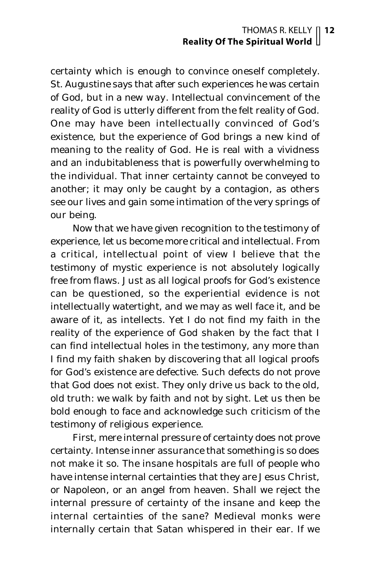certainty which is enough to convince oneself completely. St. Augustine says that after such experiences he was certain of God, but *in a new way*. Intellectual convincement of the reality of God is utterly different from the felt reality of God. One may have been intellectually convinced of God's existence, but the experience of God brings a new kind of meaning to the reality of God. He is real with a vividness and an indubitableness that is powerfully overwhelming to the individual. That inner certainty cannot be conveyed to another; it may only be caught by a contagion, as others see our lives and gain some intimation of the very springs of our being.

Now that we have given recognition to the testimony of experience, let us become more critical and intellectual. From a critical, intellectual point of view I believe that the testimony of mystic experience is not absolutely logically free from flaws. Just as all logical proofs for God's existence can be questioned, so the experiential evidence is not intellectually watertight, and we may as well face it, and be aware of it, as intellects. Yet I do not find my faith in the reality of the experience of God shaken by the fact that I can find intellectual holes in the testimony, any more than I find my faith shaken by discovering that all logical proofs for God's existence are defective. Such defects do not prove that God does not exist. They only drive us back to the old, old truth: we walk by faith and not by sight. Let us then be bold enough to face and acknowledge such criticism of the testimony of religious experience.

First, mere internal pressure of certainty does not prove certainty. Intense inner assurance that something is so does not make it so. The insane hospitals are full of people who have intense internal certainties that they are Jesus Christ, or Napoleon, or an angel from heaven. Shall we reject the internal pressure of certainty of the insane and keep the internal certainties of the sane? Medieval monks were internally certain that Satan whispered in their ear. If we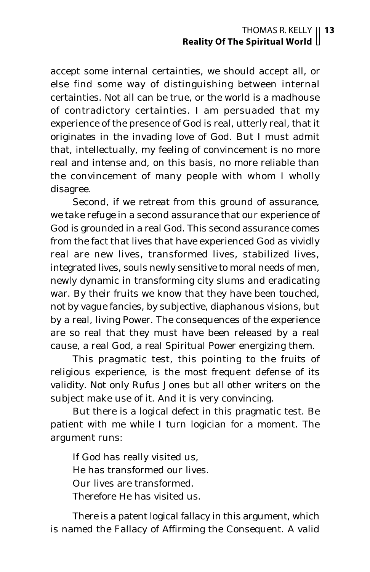# THOMAS R. KELLY **13 Reality Of The Spiritual World**

accept some internal certainties, we should accept all, or else find some way of distinguishing between internal certainties. Not all can be true, or the world is a madhouse of contradictory certainties. I am persuaded that my experience of the presence of God is real, utterly real, that it originates in the invading love of God. But I must admit that, intellectually, my feeling of convincement is no more real and intense and, on this basis, no more reliable than the convincement of many people with whom I wholly disagree.

Second, if we retreat from this ground of assurance, we take refuge in a second assurance that our experience of God is grounded in a real God. This second assurance comes from the fact that lives that have experienced God as vividly real are new lives, transformed lives, stabilized lives, integrated lives, souls newly sensitive to moral needs of men, newly dynamic in transforming city slums and eradicating war. By their fruits we know that they have been touched, not by vague fancies, by subjective, diaphanous visions, but by a real, living Power. The consequences of the experience are so real that they must have been released by a real cause, a real God, a real Spiritual Power energizing them.

This pragmatic test, this pointing to the *fruits* of religious experience, is the most frequent defense of its validity. Not only Rufus Jones but all other writers on the subject make use of it. And it is very convincing.

But there is a logical defect in this pragmatic test. Be patient with me while I turn logician for a moment. The argument runs:

If God has really visited us, He has transformed our lives. Our lives are transformed. Therefore He has visited us.

There is a patent logical fallacy in this argument, which is named the Fallacy of Affirming the Consequent. A valid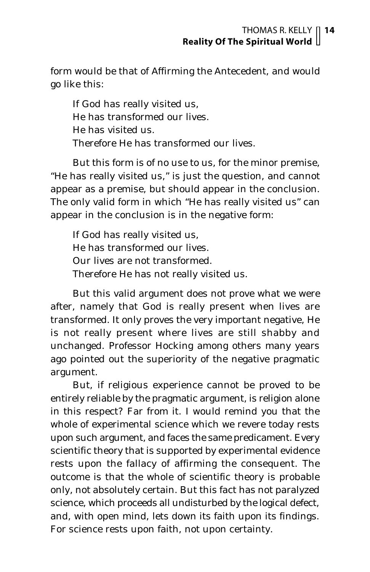form would be that of Affirming the Antecedent, and would go like this:

If God has really visited us, He has transformed our lives. He has visited us. Therefore He has transformed our lives.

But this form is of no use to us, for the minor premise, "He has really visited us," is just the question, and cannot appear as a premise, but should appear in the conclusion. The only valid form in which "He has really visited us" can appear in the conclusion is in the negative form:

If God has really visited us, He has transformed our lives. Our lives are not transformed. Therefore He has not really visited us.

But this valid argument does not prove what we were after, namely that God is really present when lives are transformed. It only proves the very important negative, He is not really present where lives are still shabby and unchanged. Professor Hocking among others many years ago pointed out the superiority of the negative pragmatic argument.

But, if religious experience cannot be proved to be entirely reliable by the pragmatic argument, is religion alone in this respect? Far from it. I would remind you that the whole of experimental science which we revere today rests upon such argument, and faces the same predicament. Every scientific theory that is supported by experimental evidence rests upon the fallacy of affirming the consequent. The outcome is that the whole of scientific theory is probable only, not absolutely certain. But this fact has not paralyzed science, which proceeds all undisturbed by the logical defect, and, with open mind, lets down its faith upon its findings. For science rests upon faith, not upon certainty.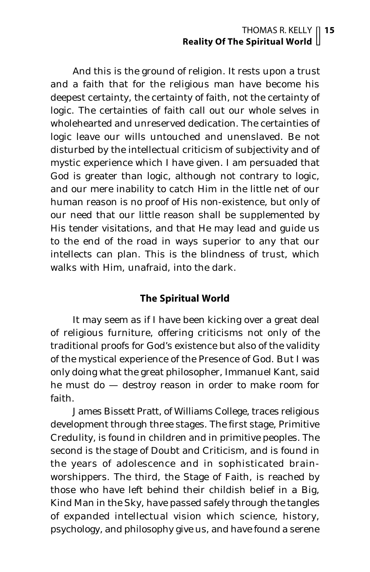## THOMAS R. KELLY **15 Reality Of The Spiritual World**

And this is the ground of religion. It rests upon a trust and a faith that for the religious man have become his deepest certainty, the certainty of faith, not the certainty of logic. The certainties of faith call out our whole selves in wholehearted and unreserved dedication. The certainties of logic leave our wills untouched and unenslaved. Be not disturbed by the intellectual criticism of subjectivity and of mystic experience which I have given. I am persuaded that God is greater than logic, although not contrary to logic, and our mere inability to catch Him in the little net of our human reason is no proof of His non-existence, but only of our need that our little reason shall be supplemented by His tender visitations, and that He may lead and guide us to the end of the road in ways superior to any that our intellects can plan. This is the blindness of trust, which walks with Him, unafraid, into the dark.

# **The Spiritual World**

It may seem as if I have been kicking over a great deal of religious furniture, offering criticisms not only of the traditional proofs for God's existence but also of the validity of the mystical experience of the Presence of God. But I was only doing what the great philosopher, Immanuel Kant, said he must do — destroy reason in order to make room for faith.

James Bissett Pratt, of Williams College, traces religious development through three stages. The first stage, Primitive Credulity, is found in children and in primitive peoples. The second is the stage of Doubt and Criticism, and is found in the years of adolescence and in sophisticated brainworshippers. The third, the Stage of Faith, is reached by those who have left behind their childish belief in a Big, Kind Man in the Sky, have passed safely through the tangles of expanded intellectual vision which science, history, psychology, and philosophy give us, and have found a serene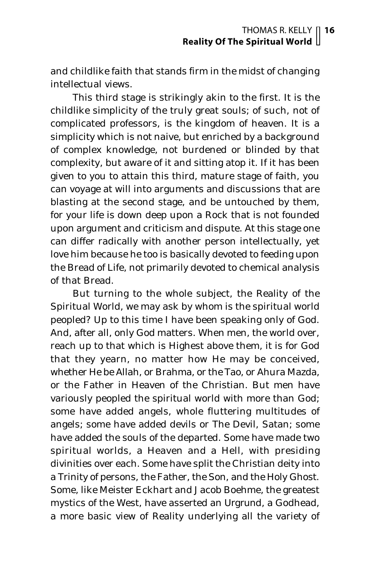and childlike faith that stands firm in the midst of changing intellectual views.

This third stage is strikingly akin to the first. It is the childlike simplicity of the truly great souls; of such, not of complicated professors, is the kingdom of heaven. It is a simplicity which is not naive, but enriched by a background of complex knowledge, not burdened or blinded by that complexity, but aware of it and sitting atop it. If it has been given to you to attain this third, mature stage of faith, you can voyage at will into arguments and discussions that are blasting at the second stage, and be untouched by them, for your life is down deep upon a Rock that is not founded upon argument and criticism and dispute. At this stage one can differ radically with another person intellectually, yet love him because he too is basically devoted to feeding upon the Bread of Life, not primarily devoted to chemical analysis of that Bread.

But turning to the whole subject, the Reality of the Spiritual World, we may ask by whom is the spiritual world peopled? Up to this time I have been speaking only of God. And, after all, only God matters. When men, the world over, reach up to that which is Highest above them, it is for God that they yearn, no matter how He may be conceived, whether He be Allah, or Brahma, or the Tao, or Ahura Mazda, or the Father in Heaven of the Christian. But men have variously peopled the spiritual world with more than God; some have added angels, whole fluttering multitudes of angels; some have added devils or The Devil, Satan; some have added the souls of the departed. Some have made two spiritual worlds, a Heaven and a Hell, with presiding divinities over each. Some have split the Christian deity into a Trinity of persons, the Father, the Son, and the Holy Ghost. Some, like Meister Eckhart and Jacob Boehme, the greatest mystics of the West, have asserted an *Urgrund,* a Godhead, a more basic view of Reality underlying all the variety of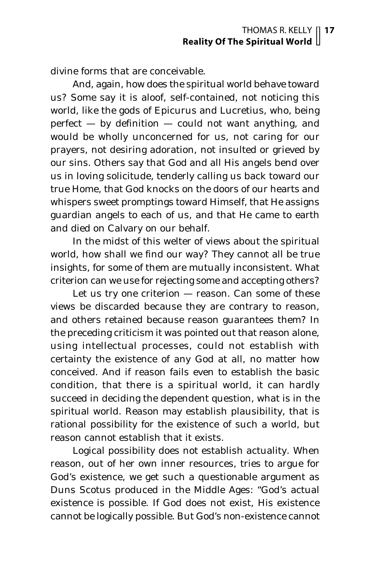divine forms that are conceivable.

And, again, how does the spiritual world behave toward us? Some say it is aloof, self-contained, not noticing this world, like the gods of Epicurus and Lucretius, who, being  $perfect - by definition - could not want anything, and$ would be wholly unconcerned for us, not caring for our prayers, not desiring adoration, not insulted or grieved by our sins. Others say that God and all His angels bend over us in loving solicitude, tenderly calling us back toward our true Home, that God knocks on the doors of our hearts and whispers sweet promptings toward Himself, that He assigns guardian angels to each of us, and that He came to earth and died on Calvary on our behalf.

In the midst of this welter of views about the spiritual world, how shall we find our way? They cannot all be true insights, for some of them are mutually inconsistent. What criterion can we use for rejecting some and accepting others?

Let us try one criterion — reason. Can some of these views be discarded because they are contrary to reason, and others retained because reason guarantees them? In the preceding criticism it was pointed out that reason alone, using intellectual processes, could not establish with certainty the existence of any God at all, no matter how conceived. And if reason fails even to establish the basic condition, that there is a spiritual world, it can hardly succeed in deciding the dependent question, what is in the spiritual world. Reason may establish plausibility, that is rational possibility for the existence of such a world, but reason cannot establish that it exists.

Logical possibility does not establish actuality. When reason, out of her own inner resources, tries to argue for God's existence, we get such a questionable argument as Duns Scotus produced in the Middle Ages: "God's actual existence is possible. If God does not exist, His existence cannot be logically possible. But God's non-existence cannot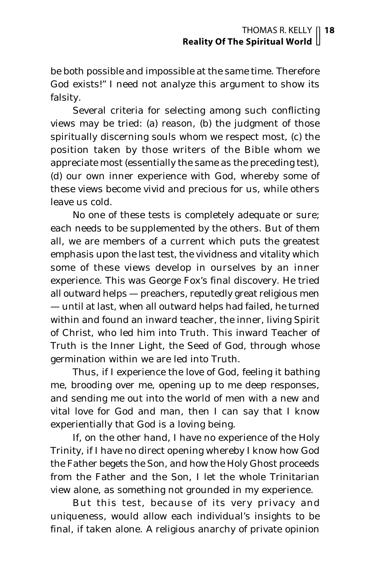be both possible and impossible at the same time. Therefore God exists!" I need not analyze this argument to show its falsity.

Several criteria for selecting among such conflicting views may be tried: (a) reason, (b) the judgment of those spiritually discerning souls whom we respect most, (c) the position taken by those writers of the Bible whom we appreciate most (essentially the same as the preceding test), (d) our own inner experience with God, whereby some of these views become vivid and precious for us, while others leave us cold.

No one of these tests is completely adequate or sure; each needs to be supplemented by the others. But of them all, we are members of a current which puts the greatest emphasis upon the last test, the vividness and vitality which some of these views develop in ourselves by an inner experience. This was George Fox's final discovery. He tried all outward helps — preachers, reputedly great religious men — until at last, when all outward helps had failed, he turned within and found an inward teacher, the inner, living Spirit of Christ, who led him into Truth. This inward Teacher of Truth is the Inner Light, the Seed of God, through whose germination within we are led into Truth.

Thus, if I experience the love of God, feeling it bathing me, brooding over me, opening up to me deep responses, and sending me out into the world of men with a new and vital love for God and man, then I can say that I know experientially that God is a loving being.

If, on the other hand, I have no experience of the Holy Trinity, if I have no direct opening whereby I know how God the Father begets the Son, and how the Holy Ghost proceeds from the Father and the Son, I let the whole Trinitarian view alone, as something not grounded in my experience.

But this test, because of its very privacy and uniqueness, would allow each individual's insights to be final, if taken alone. A religious anarchy of private opinion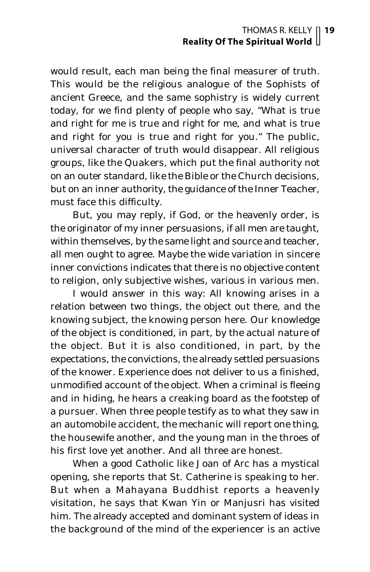would result, each man being the final measurer of truth. This would be the religious analogue of the Sophists of ancient Greece, and the same sophistry is widely current today, for we find plenty of people who say, "What is true and right for me is true and right for me, and what is true and right for you is true and right for you." The public, universal character of truth would disappear. All religious groups, like the Quakers, which put the final authority not on an outer standard, like the Bible or the Church decisions, but on an inner authority, the guidance of the Inner Teacher, must face this difficulty.

But, you may reply, if God, or the heavenly order, is the originator of my inner persuasions, if all men are taught, within themselves, by the same light and source and teacher, all men ought to agree. Maybe the wide variation in sincere inner convictions indicates that there is no objective content to religion, only subjective wishes, various in various men.

I would answer in this way: All knowing arises in a relation between two things, the object out there, and the knowing subject, the knowing person here. Our knowledge of the object is conditioned, in part, by the actual nature of the object. But it is also conditioned, in part, by the expectations, the convictions, the already settled persuasions of the knower. Experience does not deliver to us a finished, unmodified account of the object. When a criminal is fleeing and in hiding, he hears a creaking board as the footstep of a pursuer. When three people testify as to what they saw in an automobile accident, the mechanic will report one thing, the housewife another, and the young man in the throes of his first love yet another. And all three are honest.

When a good Catholic like Joan of Arc has a mystical opening, she reports that St. Catherine is speaking to her. But when a Mahayana Buddhist reports a heavenly visitation, he says that Kwan Yin or Manjusri has visited him. The already accepted and dominant system of ideas in the background of the mind of the experiencer is an active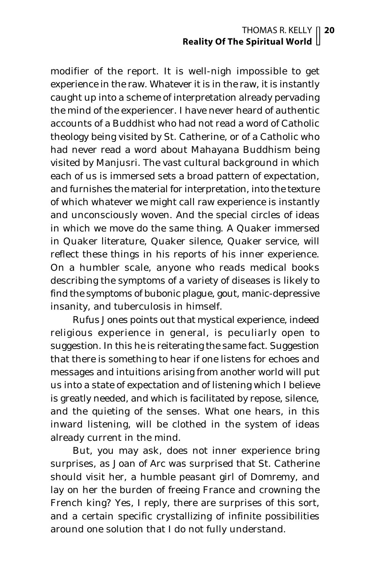#### THOMAS R. KELLY **20 Reality Of The Spiritual World**

modifier of the report. It is well-nigh impossible to get experience in the raw. Whatever it is in the raw, it is instantly caught up into a scheme of interpretation already pervading the mind of the experiencer. I have never heard of authentic accounts of a Buddhist who had not read a word of Catholic theology being visited by St. Catherine, or of a Catholic who had never read a word about Mahayana Buddhism being visited by Manjusri. The vast cultural background in which each of us is immersed sets a broad pattern of expectation, and furnishes the material for interpretation, into the texture of which whatever we might call raw experience is instantly and unconsciously woven. And the special circles of ideas in which we move do the same thing. A Quaker immersed in Quaker literature, Quaker silence, Quaker service, will reflect these things in his reports of his inner experience. On a humbler scale, anyone who reads medical books describing the symptoms of a variety of diseases is likely to find the symptoms of bubonic plague, gout, manic-depressive insanity, and tuberculosis in himself.

Rufus Jones points out that mystical experience, indeed religious experience in general, is peculiarly open to suggestion. In this he is reiterating the same fact. Suggestion that there is something to hear if one listens for echoes and messages and intuitions arising from another world will put us into a state of expectation and of listening which I believe is greatly needed, and which is facilitated by repose, silence, and the quieting of the senses. What one hears, in this inward listening, will be clothed in the system of ideas already current in the mind.

But, you may ask, does not inner experience bring surprises, as Joan of Arc was surprised that St. Catherine should visit her, a humble peasant girl of Domremy, and lay on her the burden of freeing France and crowning the French king? Yes, I reply, there are surprises of this sort, and a certain specific crystallizing of infinite possibilities around one solution that I do not fully understand.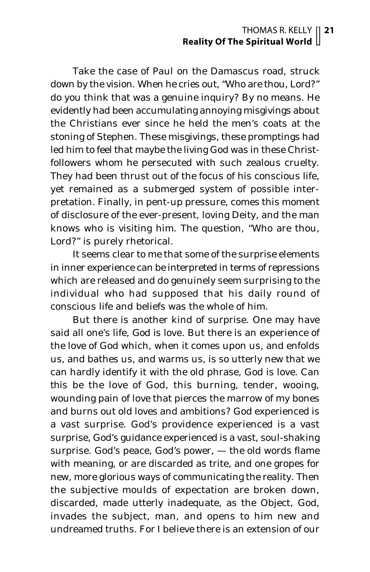# THOMAS R. KELLY **21 Reality Of The Spiritual World**

Take the case of Paul on the Damascus road, struck down by the vision. When he cries out, "Who are thou, Lord?" do you think that was a genuine inquiry? By no means. He evidently had been accumulating annoying misgivings about the Christians ever since he held the men's coats at the stoning of Stephen. These misgivings, these promptings had led him to feel that maybe the living God was in these Christfollowers whom he persecuted with such zealous cruelty. They had been thrust out of the focus of his conscious life, yet remained as a submerged system of possible interpretation. Finally, in pent-up pressure, comes this moment of disclosure of the ever-present, loving Deity, and the man knows who is visiting him. The question, "Who are thou, Lord?" is purely rhetorical.

It seems clear to me that some of the surprise elements in inner experience can be interpreted in terms of repressions which are released and do genuinely seem surprising to the individual who had supposed that his daily round of conscious life and beliefs was the whole of him.

But there is another kind of surprise. One may have said all one's life, *God is love*. But there is an experience of the love of God which, when it comes upon us, and enfolds us, and bathes us, and warms us, is so utterly new that we can hardly identify it with the old phrase, God is love. Can *this* be the love of God, this burning, tender, wooing, wounding pain of love that pierces the marrow of my bones and burns out old loves and ambitions? God experienced is a vast surprise. God's providence experienced is a vast surprise, God's guidance experienced is a vast, soul-shaking surprise. God's peace, God's power, — the old words flame with meaning, or are discarded as trite, and one gropes for new, more glorious ways of communicating the reality. Then the subjective moulds of expectation are broken down, discarded, made utterly inadequate, as the Object, God, invades the subject, man, and opens to him new and undreamed truths. For I believe there is an extension of our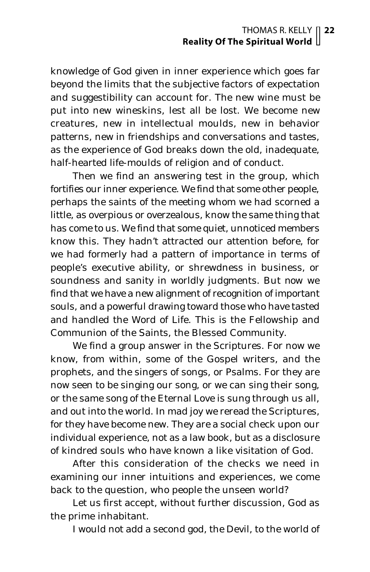# THOMAS R. KELLY **22 Reality Of The Spiritual World**

knowledge of God given in inner experience which goes far beyond the limits that the subjective factors of expectation and suggestibility can account for. The new wine must be put into new wineskins, lest all be lost. We become new creatures, new in intellectual moulds, new in behavior patterns, new in friendships and conversations and tastes, as the experience of God breaks down the old, inadequate, half-hearted life-moulds of religion and of conduct.

Then we find an answering test in the group, which fortifies our inner experience. We find that some other people, perhaps the saints of the meeting whom we had scorned a little, as overpious or overzealous, know the same thing that has come to us. We find that some quiet, unnoticed members know this. They hadn't attracted our attention before, for we had formerly had a pattern of importance in terms of people's executive ability, or shrewdness in business, or soundness and sanity in worldly judgments. But *now* we find that we have a new alignment of recognition of important souls, and a powerful drawing toward those who have tasted and handled the Word of Life. This is the Fellowship and Communion of the Saints, the Blessed Community.

We find a group answer in the Scriptures. For now we know, from within, some of the Gospel writers, and the prophets, and the singers of songs, or Psalms. For they are now seen to be singing our song, or we can sing their song, or the same song of the Eternal Love is sung through us all, and out into the world. In mad joy we reread the Scriptures, for they have become new. They are a social check upon our individual experience, not as a law book, but as a disclosure of kindred souls who have known a like visitation of God.

After this consideration of the checks we need in examining our inner intuitions and experiences, we come back to the question, who people the unseen world?

Let us first accept, without further discussion, God as the prime inhabitant.

I would not add a second god, the Devil, to the world of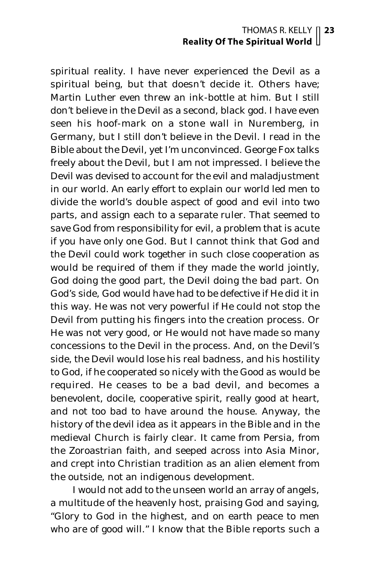#### THOMAS R. KELLY **23 Reality Of The Spiritual World**

spiritual reality. I have never experienced the Devil as a spiritual being, but that doesn't decide it. Others have; Martin Luther even threw an ink-bottle at him. But I still don't believe in the Devil as a second, black god. I have even seen his hoof-mark on a stone wall in Nuremberg, in Germany, but I still don't believe in the Devil. I read in the Bible about the Devil, yet I'm unconvinced. George Fox talks freely about the Devil, but I am not impressed. I believe the Devil was devised to account for the evil and maladjustment in our world. An early effort to explain our world led men to divide the world's double aspect of good and evil into two parts, and assign each to a separate ruler. That seemed to save God from responsibility for evil, a problem that is acute if you have only one God. But I cannot think that God and the Devil could work together in such close cooperation as would be required of them if they made the world jointly, God doing the good part, the Devil doing the bad part. On God's side, God would have had to be defective if He did it in this way. He was not very powerful if He could not stop the Devil from putting his fingers into the creation process. Or He was not very good, or He would not have made so many concessions to the Devil in the process. And, on the Devil's side, the Devil would lose his real badness, and his hostility to God, if he cooperated so nicely with the Good as would be required. He ceases to be a bad devil, and becomes a benevolent, docile, cooperative spirit, really good at heart, and not too bad to have around the house. Anyway, the history of the devil idea as it appears in the Bible and in the medieval Church is fairly clear. It came from Persia, from the Zoroastrian faith, and seeped across into Asia Minor, and crept into Christian tradition as an alien element from the outside, not an indigenous development.

I would not add to the unseen world an array of angels, a multitude of the heavenly host, praising God and saying, "Glory to God in the highest, and on earth peace to men who are of good will." I know that the Bible reports such a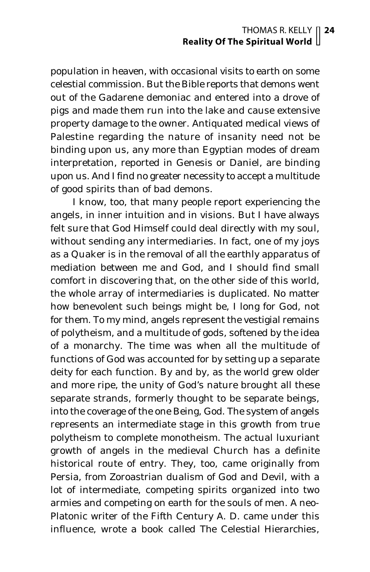# THOMAS R. KELLY **24 Reality Of The Spiritual World**

population in heaven, with occasional visits to earth on some celestial commission. But the Bible reports that demons went out of the Gadarene demoniac and entered into a drove of pigs and made them run into the lake and cause extensive property damage to the owner. Antiquated medical views of Palestine regarding the nature of insanity need not be binding upon us, any more than Egyptian modes of dream interpretation, reported in Genesis or Daniel, are binding upon us. And I find no greater necessity to accept a multitude of good spirits than of bad demons.

I know, too, that many people report *experiencing* the angels, in inner intuition and in visions. But I have always felt sure that God Himself could deal directly with my soul, without sending any intermediaries. In fact, one of my joys as a Quaker is in the removal of all the earthly apparatus of mediation between me and God, and I should find small comfort in discovering that, on the other side of this world, the whole array of intermediaries is duplicated. No matter how benevolent such beings might be, I long for God, not for them. To my mind, angels represent the vestigial remains of polytheism, and a multitude of gods, softened by the idea of a monarchy. The time was when all the multitude of functions of God was accounted for by setting up a separate deity for each function. By and by, as the world grew older and more ripe, the unity of God's nature brought all these separate strands, formerly thought to be separate beings, into the coverage of the one Being, God. The system of angels represents an intermediate stage in this growth from true polytheism to complete monotheism. The actual luxuriant growth of angels in the medieval Church has a definite historical route of entry. They, too, came originally from Persia, from Zoroastrian dualism of God and Devil, with a lot of intermediate, competing spirits organized into two armies and competing on earth for the souls of men. A neo-Platonic writer of the Fifth Century A. D. came under this influence, wrote a book called *The Celestial Hierarchies*,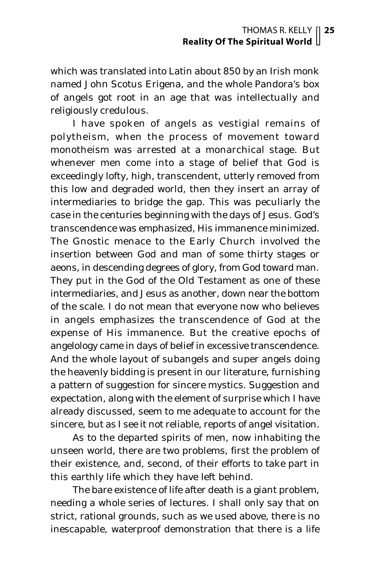which was translated into Latin about 850 by an Irish monk named John Scotus Erigena, and the whole Pandora's box of angels got root in an age that was intellectually and religiously credulous.

I have spoken of angels as vestigial remains of polytheism, when the process of movement toward monotheism was arrested at a monarchical stage. But whenever men come into a stage of belief that God is exceedingly lofty, high, transcendent, utterly removed from this low and degraded world, then they insert an array of intermediaries to bridge the gap. This was peculiarly the case in the centuries beginning with the days of Jesus. God's transcendence was emphasized, His immanence minimized. The Gnostic menace to the Early Church involved the insertion between God and man of some thirty stages or aeons, in descending degrees of glory, from God toward man. They put in the God of the Old Testament as one of these intermediaries, and Jesus as another, down near the bottom of the scale. I do not mean that everyone now who believes in angels emphasizes the transcendence of God at the expense of His immanence. But the creative epochs of angelology came in days of belief in excessive transcendence. And the whole layout of subangels and super angels doing the heavenly bidding is present in our literature, furnishing a pattern of suggestion for sincere mystics. Suggestion and expectation, along with the element of surprise which I have already discussed, seem to me adequate to account for the sincere, but as I see it not reliable, reports of angel visitation.

As to the departed spirits of men, now inhabiting the unseen world, there are two problems, first the problem of their existence, and, second, of their efforts to take part in this earthly life which they have left behind.

The bare existence of life after death is a giant problem, needing a whole series of lectures. I shall only say that on strict, rational grounds, such as we used above, there is no inescapable, waterproof demonstration that there is a life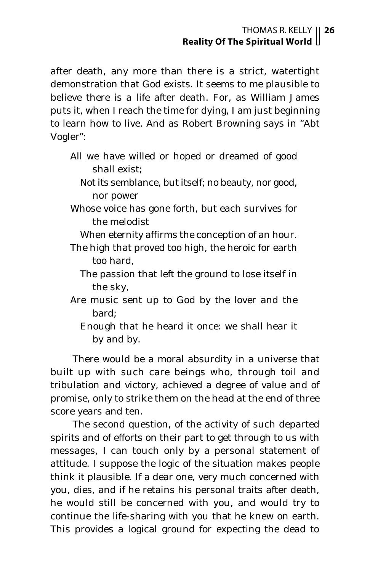after death, any more than there is a strict, watertight demonstration that God exists. It seems to me plausible to believe there is a life after death. For, as William James puts it, when I reach the time for dying, I am just beginning to learn how to live. And as Robert Browning says in "Abt Vogler":

- All we have willed or hoped or dreamed of good shall exist;
	- Not its semblance, but itself; no beauty, nor good, nor power
- Whose voice has gone forth, but each survives for the melodist

When eternity affirms the conception of an hour.

- The high that proved too high, the heroic for earth too hard,
	- The passion that left the ground to lose itself in the sky,
- Are music sent up to God by the lover and the bard;
	- Enough that he heard it once: we shall hear it by and by.

There would be a moral absurdity in a universe that built up with such care beings who, through toil and tribulation and victory, achieved a degree of value and of promise, only to strike them on the head at the end of three score years and ten.

The second question, of the activity of such departed spirits and of efforts on their part to get through to us with messages, I can touch only by a personal statement of attitude. I suppose the logic of the situation makes people think it plausible. If a dear one, very much concerned with you, dies, and if he retains his personal traits after death, he would still be concerned with you, and would try to continue the life-sharing with you that he knew on earth. This provides a logical ground for expecting the dead to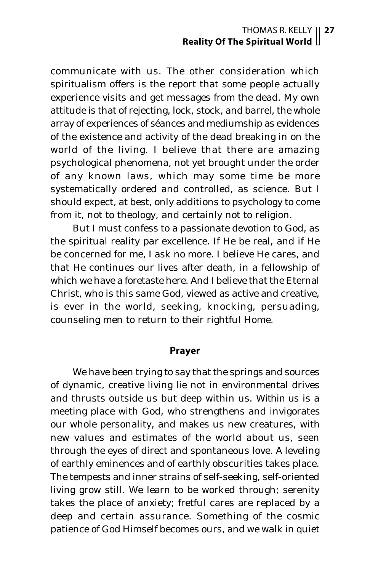communicate with us. The other consideration which spiritualism offers is the report that some people actually experience visits and get messages from the dead. My own attitude is that of rejecting, lock, stock, and barrel, the whole array of experiences of séances and mediumship as evidences of the existence and activity of the dead breaking in on the world of the living. I believe that there are amazing psychological phenomena, not yet brought under the order of any known laws, which may some time be more systematically ordered and controlled, as science. But I should expect, at best, only additions to psychology to come from it, not to theology, and certainly not to religion.

But I must confess to a passionate devotion to God, as the spiritual reality *par excellence.* If He be real, and if He be concerned for me, I ask no more. I believe He cares, and that He continues our lives after death, in a fellowship of which we have a foretaste here. And I believe that the Eternal Christ, who is this same God, viewed as active and creative, is ever in the world, seeking, knocking, persuading, counseling men to return to their rightful Home.

## **Prayer**

We have been trying to say that the springs and sources of dynamic, creative living lie not in environmental drives and thrusts outside us but deep within us. *Within us* is a meeting place with God, who strengthens and invigorates our whole personality, and makes us new creatures, with new values and estimates of the world about us, seen through the eyes of direct and spontaneous love. A leveling of earthly eminences and of earthly obscurities takes place. The tempests and inner strains of self-seeking, self-oriented living grow still. We learn to be worked through; serenity takes the place of anxiety; fretful cares are replaced by a deep and certain assurance. Something of the cosmic patience of God Himself becomes ours, and we walk in quiet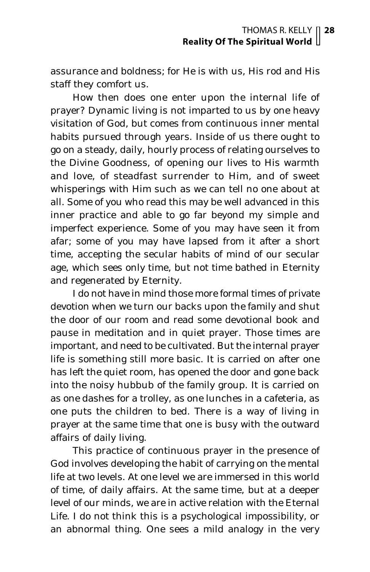assurance and boldness; for He is with us, His rod and His staff they comfort us.

How then does one enter upon the internal life of prayer? Dynamic living is not imparted to us by one heavy visitation of God, but comes from continuous inner mental habits pursued through years. Inside of us there ought to go on a steady, daily, hourly process of relating ourselves to the Divine Goodness, of opening our lives to His warmth and love, of steadfast surrender to Him, and of sweet whisperings with Him such as we can tell no one about at all. Some of you who read this may be well advanced in this inner practice and able to go far beyond my simple and imperfect experience. Some of you may have seen it from afar; some of you may have lapsed from it after a short time, accepting the secular habits of mind of our secular age, which sees only time, but not time bathed in Eternity and regenerated by Eternity.

I do not have in mind those more formal times of private devotion when we turn our backs upon the family and shut the door of our room and read some devotional book and pause in meditation and in quiet prayer. Those times are important, and need to be cultivated. But the internal prayer life is something still more basic. It is carried on after one has left the quiet room, has opened the door and gone back into the noisy hubbub of the family group. It is carried on as one dashes for a trolley, as one lunches in a cafeteria, as one puts the children to bed. There is a way of living in prayer at the same time that one is busy with the outward affairs of daily living.

This practice of continuous prayer in the presence of God involves developing the habit of carrying on the mental life at two levels. At one level we are immersed in this world of time, of daily affairs. At the same time, but at a deeper level of our minds, we are in active relation with the Eternal Life. I do not think this is a psychological impossibility, or an abnormal thing. One sees a mild analogy in the very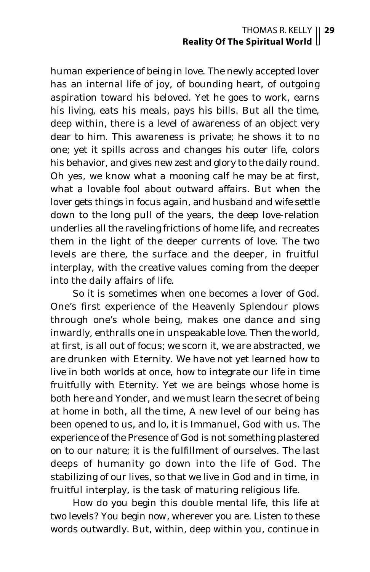# THOMAS R. KELLY **29 Reality Of The Spiritual World**

human experience of being in love. The newly accepted lover has an internal life of joy, of bounding heart, of outgoing aspiration toward his beloved. Yet he goes to work, earns his living, eats his meals, pays his bills. But all the time, deep within, there is a level of awareness of an object very dear to him. This awareness is private; he shows it to no one; yet it spills across and changes his outer life, colors his behavior, and gives new zest and glory to the daily round. Oh yes, we know what a mooning calf he may be at first, what a lovable fool about outward affairs. But when the lover gets things in focus again, and husband and wife settle down to the long pull of the years, the deep love-relation underlies all the raveling frictions of home life, and recreates them in the light of the deeper currents of love. The two levels are there, the surface and the deeper, in fruitful interplay, with the creative values coming from the deeper into the daily affairs of life.

So it is sometimes when one becomes a lover of God. One's first experience of the Heavenly Splendour plows through one's whole being, makes one dance and sing inwardly, enthralls one in unspeakable love. Then the world, at first, is all out of focus; we scorn it, we are abstracted, we are drunken with Eternity. We have not yet learned how to live in both worlds at once, how to integrate our life in time fruitfully with Eternity. Yet we are beings whose home is both here and Yonder, and we must learn the secret of being at home in both, all the time, A new level of our being has been opened to us, and lo, it is Immanuel, God with us. The experience of the Presence of God is not something plastered on to our nature; it is the fulfillment of ourselves. The last deeps of humanity go down into the life of God. The stabilizing of our lives, so that we live in God and in time, in fruitful interplay, is the task of maturing religious life.

How do you begin this double mental life, this life at two levels? You begin *now,* wherever you are. Listen to these words outwardly. But, within, deep within you, continue in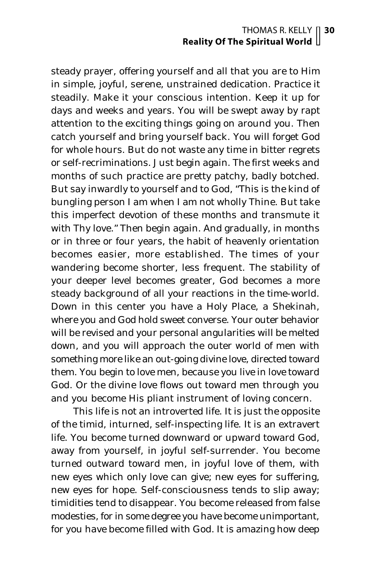#### THOMAS R. KELLY **30 Reality Of The Spiritual World**

steady prayer, offering yourself and all that you are to Him in simple, joyful, serene, unstrained dedication. Practice it steadily. Make it your conscious intention. Keep it up for days and weeks and years. You will be swept away by rapt attention to the exciting things going on around you. Then catch yourself and bring yourself back. You will forget God for whole hours. But do not waste any time in bitter regrets or self-recriminations. Just begin again. The first weeks and months of such practice are pretty patchy, badly botched. But say inwardly to yourself and to God, "This is the kind of bungling person I am when I am not wholly Thine. But take this imperfect devotion of these months and transmute it with Thy love." Then begin again. And gradually, in months or in three or four years, the habit of heavenly orientation becomes easier, more established. The times of your wandering become shorter, less frequent. The stability of your deeper level becomes greater, God becomes a more steady background of all your reactions in the time-world. Down in this center you have a Holy Place, a Shekinah, where you and God hold sweet converse. Your outer behavior will be revised and your personal angularities will be melted down, and you will approach the outer world of men with something more like an out-going divine love, directed toward them. You begin to love men, because you live in love toward God. Or the divine love flows out toward men through you and you become His pliant instrument of loving concern.

This life is not an introverted life. It is just the opposite of the timid, inturned, self-inspecting life. It is an extravert life. You become turned downward or upward toward God, away from yourself, in joyful self-surrender. You become turned outward toward men, in joyful love of them, with new eyes which only love can give; new eyes for suffering, new eyes for hope. Self-consciousness tends to slip away; timidities tend to disappear. You become released from false modesties, for in some degree you have become unimportant, for you have become filled with God. It is amazing how deep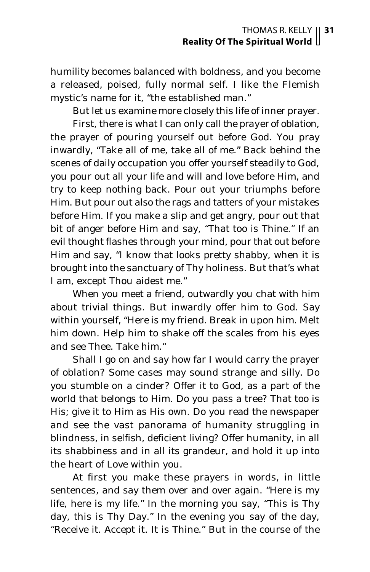humility becomes balanced with boldness, and you become a released, poised, fully normal self. I like the Flemish mystic's name for it, "the established man."

But let us examine more closely this life of inner prayer.

First, there is what I can only call *the prayer of oblation*, the prayer of pouring yourself out before God. You pray inwardly, "Take all of me, take all of me." Back behind the scenes of daily occupation you offer yourself steadily to God, you pour out all your life and will and love before Him, and try to keep nothing back. Pour out your triumphs before Him. But pour out also the rags and tatters of your mistakes before Him. If you make a slip and get angry, pour out that bit of anger before Him and say, "That too is Thine." If an evil thought flashes through your mind, pour that out before Him and say, "I know that looks pretty shabby, when it is brought into the sanctuary of Thy holiness. But that's what I am, except Thou aidest me."

When you meet a friend, outwardly you chat with him about trivial things. But inwardly offer him to God. Say within yourself, "Here is my friend. Break in upon him. Melt him down. Help him to shake off the scales from his eyes and see Thee. Take him."

Shall I go on and say how far I would carry the prayer of oblation? Some cases may sound strange and silly. Do you stumble on a cinder? Offer it to God, as a part of the world that belongs to Him. Do you pass a tree? That too is His; give it to Him as His own. Do you read the newspaper and see the vast panorama of humanity struggling in blindness, in selfish, deficient living? Offer humanity, in all its shabbiness and in all its grandeur, and hold it up into the heart of Love within you.

At first you make these prayers in words, in little sentences, and say them over and over again. "Here is my life, here is my life." In the morning you say, "This is Thy day, this is Thy Day." In the evening you say of the day, "Receive it. Accept it. It is Thine." But in the course of the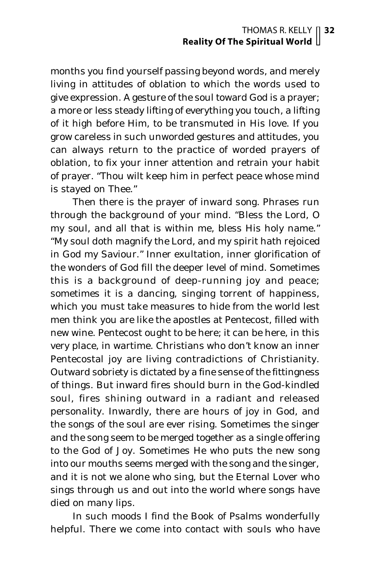months you find yourself passing beyond words, and merely living in attitudes of oblation to which the words used to give expression. A gesture of the soul toward God is a prayer; a more or less steady lifting of everything you touch, a lifting of it high before Him, to be transmuted in His love. If you grow careless in such unworded gestures and attitudes, you can always return to the practice of worded prayers of oblation, to fix your inner attention and retrain your habit of prayer. "Thou wilt keep him in perfect peace whose mind is stayed on Thee."

Then there is the prayer of inward *song.* Phrases run through the background of your mind. "Bless the Lord, O my soul, and all that is within me, bless His holy name." "My soul doth magnify the Lord, and my spirit hath rejoiced in God my Saviour." Inner exultation, inner glorification of the wonders of God fill the deeper level of mind. Sometimes this is a background of deep-running joy and peace; sometimes it is a dancing, singing torrent of happiness, which you must take measures to hide from the world lest men think you are like the apostles at Pentecost, filled with new wine. Pentecost ought to be here; it can be here, in this very place, in wartime. Christians who don't know an inner Pentecostal joy are living contradictions of Christianity. Outward sobriety is dictated by a fine sense of the fittingness of things. But inward fires should burn in the God-kindled soul, fires shining outward in a radiant and released personality. Inwardly, there are hours of joy in God, and the songs of the soul are ever rising. Sometimes the singer and the song seem to be merged together as a single offering to the God of Joy. Sometimes He who puts the new song into our mouths seems merged with the song and the singer, and it is not we alone who sing, but the Eternal Lover who sings through us and out into the world where songs have died on many lips.

In such moods I find the Book of Psalms wonderfully helpful. There we come into contact with souls who have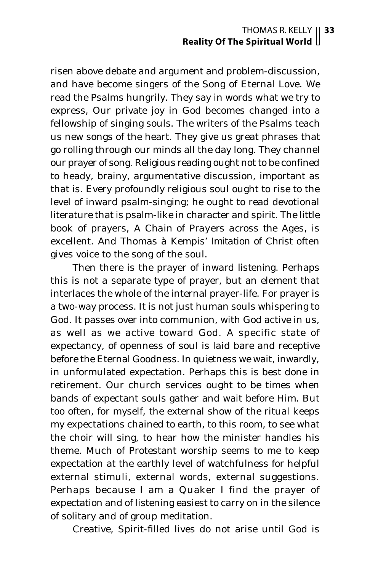risen above debate and argument and problem-discussion, and have become singers of the Song of Eternal Love. We read the Psalms hungrily. They say in words what we try to express, Our private joy in God becomes changed into a fellowship of singing souls. The writers of the Psalms teach us new songs of the heart. They give us great phrases that go rolling through our minds all the day long. They channel our prayer of song. Religious reading ought not to be confined to heady, brainy, argumentative discussion, important as that is. Every profoundly religious soul ought to rise to the level of inward psalm-singing; he ought to read devotional literature that is psalm-like in character and spirit. The little book of prayers, *A Chain of Prayers across the Ages,* is excellent. And Thomas à Kempis' *Imitation of Christ* often gives voice to the song of the soul.

Then there is the prayer of inward *listening.* Perhaps this is not a separate type of prayer, but an element that interlaces the whole of the internal prayer-life. For prayer is a two-way process. It is not just human souls whispering to God. It passes over into communion, with God active in us, as well as we active toward God. A specific state of expectancy, of openness of soul is laid bare and receptive before the Eternal Goodness. In quietness we wait, inwardly, in unformulated expectation. Perhaps this is best done in retirement. Our church services ought to be times when bands of expectant souls gather and wait before Him. But too often, for myself, the external show of the ritual keeps my expectations chained to earth, to this room, to see what the choir will sing, to hear how the minister handles his theme. Much of Protestant worship seems to me to keep expectation at the earthly level of watchfulness for helpful external stimuli, external words, external suggestions. Perhaps because I am a Quaker I find the prayer of expectation and of listening easiest to carry on in the silence of solitary and of group meditation.

Creative, Spirit-filled lives do not arise until God is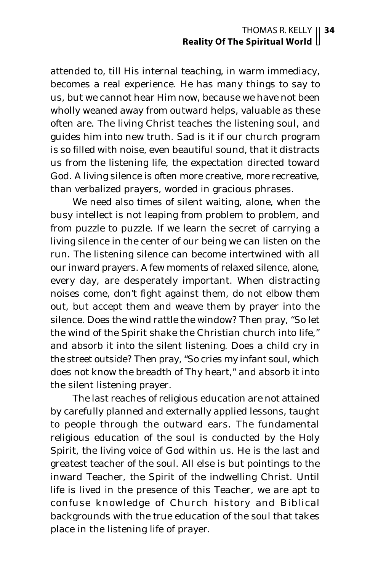attended to, till His internal teaching, in warm immediacy, becomes a real experience. He has many things to say to us, but we cannot hear Him now, because we have not been wholly weaned away from outward helps, valuable as these often are. The living Christ teaches the listening soul, and guides him into new truth. Sad is it if our church program is so filled with noise, even beautiful sound, that it distracts us from the listening life, the expectation directed toward God. A living silence is often more creative, more recreative, than verbalized prayers, worded in gracious phrases.

We need also times of silent waiting, alone, when the busy intellect is not leaping from problem to problem, and from puzzle to puzzle. If we learn the secret of carrying a living silence in the center of our being we can listen on the run. The listening silence can become intertwined with all our inward prayers. A few moments of relaxed silence, alone, every day, are desperately important. When distracting noises come, don't fight against them, do not elbow them out, but accept them and weave them by prayer into the silence. Does the wind rattle the window? Then pray, "So let the wind of the Spirit shake the Christian church into life," and absorb it into the silent listening. Does a child cry in the street outside? Then pray, "So cries my infant soul, which does not know the breadth of Thy heart," and absorb it into the silent listening prayer.

The last reaches of religious education are not attained by carefully planned and externally applied lessons, taught to people through the outward ears. The fundamental religious education of the soul is conducted by the Holy Spirit, the living voice of God within us. He is the last and greatest teacher of the soul. All else is but pointings to the inward Teacher, the Spirit of the indwelling Christ. Until life is lived in the presence of this Teacher, we are apt to confuse knowledge of Church history and Biblical backgrounds with the true education of the soul that takes place in the listening life of prayer.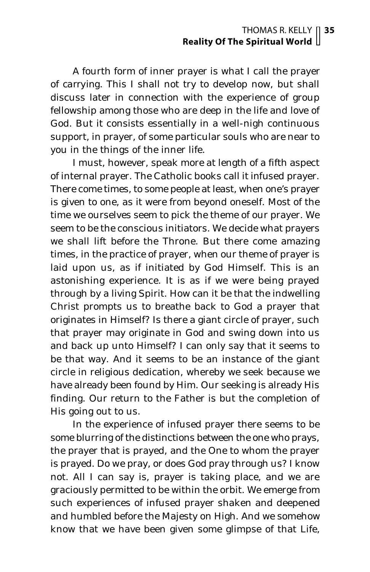### THOMAS R. KELLY **35 Reality Of The Spiritual World**

A fourth form of inner prayer is what I call the prayer of *carrying.* This I shall not try to develop now, but shall discuss later in connection with the experience of group fellowship among those who are deep in the life and love of God. But it consists essentially in a well-nigh continuous support, in prayer, of some particular souls who are near to you in the things of the inner life.

I must, however, speak more at length of a fifth aspect of internal prayer. The Catholic books call it *infused* prayer. There come times, to some people at least, when one's prayer is given to one, as it were from beyond oneself. Most of the time we ourselves seem to pick the theme of our prayer. We seem to be the conscious initiators. We decide what prayers we shall lift before the Throne. But there come amazing times, in the practice of prayer, when our theme of prayer is laid upon us, as if initiated by God Himself. This is an astonishing experience. It is as if we were being prayed through by a living Spirit. How can it be that the indwelling Christ prompts us to breathe back to God a prayer that originates in Himself? Is there a giant circle of prayer, such that prayer may originate in God and swing down into us and back up unto Himself? I can only say that it seems to be that way. And it seems to be an instance of the giant circle in religious dedication, whereby we seek because we have already been found by Him. Our seeking is already His finding. Our return to the Father is but the completion of His going out to us.

In the experience of infused prayer there seems to be some blurring of the distinctions between the one who prays, the prayer that is prayed, and the One to whom the prayer is prayed. Do *we* pray, or does God pray through us? I know not. All I can say is, prayer is taking place, and we are graciously permitted to be within the orbit. We emerge from such experiences of infused prayer shaken and deepened and humbled before the Majesty on High. And we somehow know that we have been given some glimpse of that Life,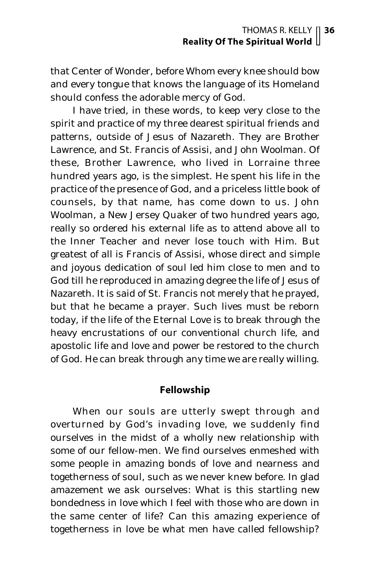that Center of Wonder, before Whom every knee should bow and every tongue that knows the language of its Homeland should confess the adorable mercy of God.

I have tried, in these words, to keep very close to the spirit and practice of my three dearest spiritual friends and patterns, outside of Jesus of Nazareth. They are Brother Lawrence, and St. Francis of Assisi, and John Woolman. Of these, Brother Lawrence, who lived in Lorraine three hundred years ago, is the simplest. He spent his life in the practice of the presence of God, and a priceless little book of counsels, by that name, has come down to us. John Woolman, a New Jersey Quaker of two hundred years ago, really so ordered his external life as to attend above all to the Inner Teacher and never lose touch with Him. But greatest of all is Francis of Assisi, whose direct and simple and joyous dedication of soul led him close to men and to God till he reproduced in amazing degree the life of Jesus of Nazareth. It is said of St. Francis not merely that he prayed, but that he became a prayer. Such lives must be reborn today, if the life of the Eternal Love is to break through the heavy encrustations of our conventional church life, and apostolic life and love and power be restored to the church of God. He can break through any time we are really willing.

# **Fellowship**

When our souls are utterly swept through and overturned by God's invading love, we suddenly find ourselves in the midst of a wholly new relationship with some of our fellow-men. We find ourselves enmeshed with some people in amazing bonds of love and nearness and togetherness of soul, such as we never knew before. In glad amazement we ask ourselves: What is this startling new bondedness in love which I feel with those who are down in the same center of life? Can this amazing experience of togetherness in love be what men have called fellowship?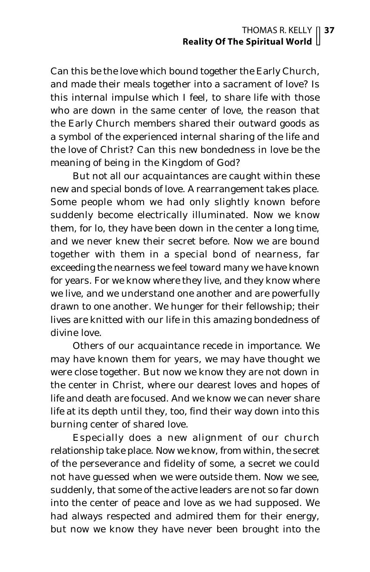Can this be the love which bound together the Early Church, and made their meals together into a sacrament of love? Is this internal impulse which I feel, to share life with those who are down in the same center of love, the reason that the Early Church members shared their outward goods as a symbol of the experienced internal sharing of the life and the love of Christ? Can this new bondedness in love be the meaning of being in the Kingdom of God?

But not all our acquaintances are caught within these new and special bonds of love. A rearrangement takes place. Some people whom we had only slightly known before suddenly become electrically illuminated. Now we know them, for lo, they have been down in the center a long time, and we never knew their secret before. Now we are bound together with them in a special bond of nearness, far exceeding the nearness we feel toward many we have known for years. For we know where they live, and they know where we live, and we understand one another and are powerfully drawn to one another. We hunger for their fellowship; their lives are knitted with our life in this amazing bondedness of divine love.

Others of our acquaintance recede in importance. We may have known them for years, we may have thought we were close together. But now we know they are not down in the center in Christ, where our dearest loves and hopes of life and death are focused. And we know we can never share life at its depth until they, too, find their way down into this burning center of shared love.

Especially does a new alignment of our church relationship take place. Now we know, from within, the secret of the perseverance and fidelity of some, a secret we could not have guessed when we were *outside* them. *Now* we see, suddenly, that some of the active leaders are not so far down into the center of peace and love as we had supposed. We had always respected and admired them for their energy, but now we know they have never been brought into the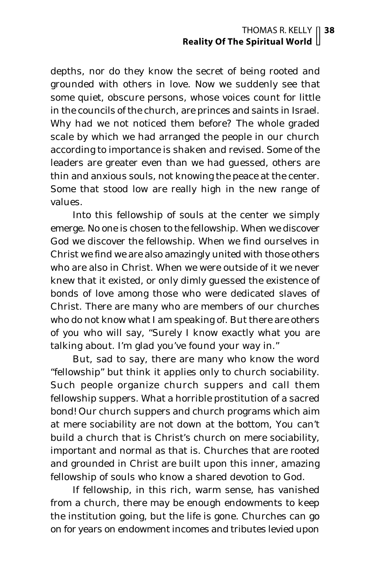depths, nor do they know the secret of being rooted and grounded with others in love. Now we suddenly see that some quiet, obscure persons, whose voices count for little in the councils of the church, are princes and saints in Israel. Why had we not noticed them before? The whole graded scale by which we had arranged the people in our church according to importance is shaken and revised. Some of the leaders are greater even than we had guessed, others are thin and anxious souls, not knowing the peace at the center. Some that stood low are really high in the new range of values.

Into this fellowship of souls at the center we simply emerge. No one is chosen to the fellowship. When we discover God we discover the fellowship. When we find ourselves in Christ we find we are also amazingly united with those others who are also in Christ. When we were outside of it we never knew that it existed, or only dimly guessed the existence of bonds of love among those who were dedicated slaves of Christ. There are many who are members of our churches who do not know what I am speaking of. But there are others of you who will say, "Surely I know exactly what you are talking about. I'm glad you've found your way in."

But, sad to say, there are many who know the word "fellowship" but think it applies only to church sociability. Such people organize church suppers and call them fellowship suppers. What a horrible prostitution of a sacred bond! Our church suppers and church programs which aim at mere sociability are not down at the bottom, You can't build a church that is Christ's church on mere sociability, important and normal as that is. Churches that are rooted and grounded in Christ are built upon this inner, amazing fellowship of souls who know a shared devotion to God.

If fellowship, in this rich, warm sense, has vanished from a church, there may be enough endowments to keep the institution going, but the life is gone. Churches can go on for years on endowment incomes and tributes levied upon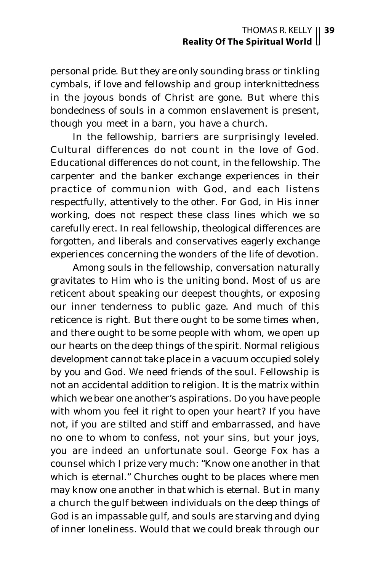personal pride. But they are only sounding brass or tinkling cymbals, if love and fellowship and group interknittedness in the joyous bonds of Christ are gone. But where this bondedness of souls in a common enslavement is present, though you meet in a barn, you have a church.

In the fellowship, barriers are surprisingly leveled. Cultural differences do not count in the love of God. Educational differences do not count, in the fellowship. The carpenter and the banker exchange experiences in their practice of communion with God, and each listens respectfully, attentively to the other. For God, in His inner working, does not respect these class lines which we so carefully erect. In real fellowship, theological differences are forgotten, and liberals and conservatives eagerly exchange experiences concerning the wonders of the life of devotion.

Among souls in the fellowship, conversation naturally gravitates to Him who is the uniting bond. Most of us are reticent about speaking our deepest thoughts, or exposing our inner tenderness to public gaze. And much of this reticence is right. But there ought to be some times when, and there ought to be some people with whom, we open up our hearts on the deep things of the spirit. Normal religious development cannot take place in a vacuum occupied solely by you and God. We need friends of the soul. Fellowship is not an accidental addition to religion. It is the matrix within which we bear one another's aspirations. Do *you* have people with whom you feel it right to open your heart? If you have not, if you are stilted and stiff and embarrassed, and have no one to whom to confess, not your sins, but your joys, you are indeed an unfortunate soul. George Fox has a counsel which I prize very much: "Know one another in that which is eternal." Churches ought to be places where men may know one another *in that which is eternal.* But in many a church the gulf between individuals on the deep things of God is an impassable gulf, and souls are starving and dying of inner loneliness. Would that we could break through our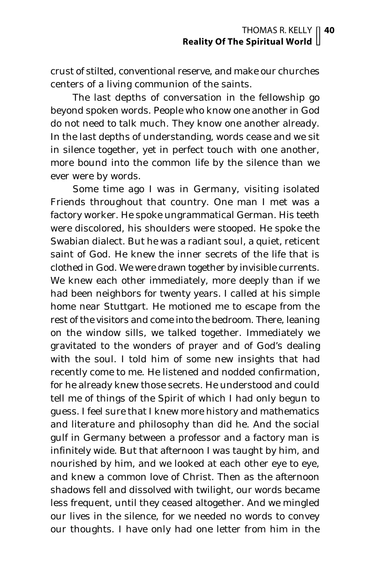crust of stilted, conventional reserve, and make our churches centers of a living communion of the saints.

The last depths of conversation in the fellowship go beyond spoken words. People who know one another in God do not need to talk much. They know one another already. In the last depths of understanding, words cease and we sit in silence together, yet in perfect touch with one another, more bound into the common life by the silence than we ever were by words.

Some time ago I was in Germany, visiting isolated Friends throughout that country. One man I met was a factory worker. He spoke ungrammatical German. His teeth were discolored, his shoulders were stooped. He spoke the Swabian dialect. But he was a radiant soul, a quiet, reticent saint of God. He knew the inner secrets of the life that is clothed in God. We were drawn together by invisible currents. We knew each other immediately, more deeply than if we had been neighbors for twenty years. I called at his simple home near Stuttgart. He motioned me to escape from the rest of the visitors and come into the bedroom. There, leaning on the window sills, we talked together. Immediately we gravitated to the wonders of prayer and of God's dealing with the soul. I told him of some new insights that had recently come to me. He listened and nodded confirmation, for he already knew those secrets. He understood and could tell me of things of the Spirit of which I had only begun to guess. I feel sure that I knew more history and mathematics and literature and philosophy than did he. And the social gulf in Germany between a professor and a factory man is infinitely wide. But that afternoon I was taught by him, and nourished by him, and we looked at each other eye to eye, and knew a common love of Christ. Then as the afternoon shadows fell and dissolved with twilight, our words became less frequent, until they ceased altogether. And we mingled our lives in the silence, for we needed no words to convey our thoughts. I have only had one letter from him in the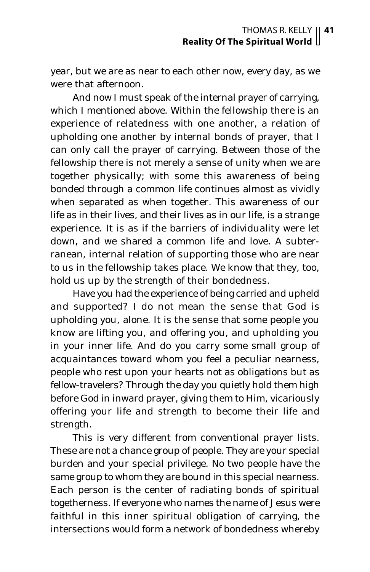year, but we are as near to each other now, every day, as we were that afternoon.

And now I must speak of the internal prayer of carrying, which I mentioned above. Within the fellowship there is an experience of relatedness with one another, a relation of upholding one another by internal bonds of prayer, that I can only call the prayer of carrying. Between those of the fellowship there is not merely a sense of unity when we are together physically; with some this awareness of being bonded through a common life continues almost as vividly when separated as when together. This awareness of our life as in their lives, and their lives as in our life, is a strange experience. It is as if the barriers of individuality were let down, and we shared a common life and love. A subterranean, internal relation of supporting those who are near to us in the fellowship takes place. We know that they, too, hold us up by the strength of their bondedness.

Have you had the experience of being carried and upheld and supported? I do not mean the sense that God is upholding you, alone. It is the sense that some people you know are lifting you, and offering you, and upholding you in your inner life. And do you carry some small group of acquaintances toward whom you feel a peculiar nearness, people who rest upon your hearts not as obligations but as fellow-travelers? Through the day you quietly hold them high before God in inward prayer, giving them to Him, vicariously offering your life and strength to become their life and strength.

This is very different from conventional prayer lists. These are not a chance group of people. They are your special burden and your special privilege. No two people have the same group to whom they are bound in this special nearness. Each person is the center of radiating bonds of spiritual togetherness. If everyone who names the name of Jesus were faithful in this inner spiritual obligation of carrying, the intersections would form a network of bondedness whereby